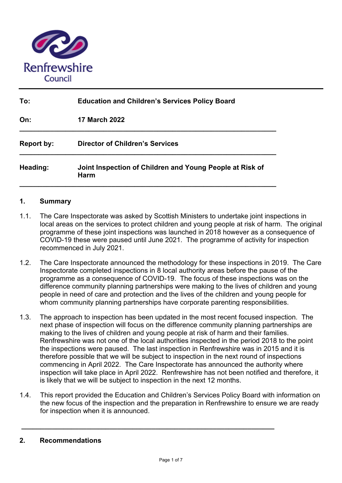

| To:               | <b>Education and Children's Services Policy Board</b>            |  |  |  |
|-------------------|------------------------------------------------------------------|--|--|--|
| On:               | <b>17 March 2022</b>                                             |  |  |  |
| <b>Report by:</b> | <b>Director of Children's Services</b>                           |  |  |  |
| Heading:          | Joint Inspection of Children and Young People at Risk of<br>Harm |  |  |  |

### **1. Summary**

- 1.1. The Care Inspectorate was asked by Scottish Ministers to undertake joint inspections in local areas on the services to protect children and young people at risk of harm. The original programme of these joint inspections was launched in 2018 however as a consequence of COVID-19 these were paused until June 2021. The programme of activity for inspection recommenced in July 2021.
- 1.2. The Care Inspectorate announced the methodology for these inspections in 2019. The Care Inspectorate completed inspections in 8 local authority areas before the pause of the programme as a consequence of COVID-19. The focus of these inspections was on the difference community planning partnerships were making to the lives of children and young people in need of care and protection and the lives of the children and young people for whom community planning partnerships have corporate parenting responsibilities.
- 1.3. The approach to inspection has been updated in the most recent focused inspection. The next phase of inspection will focus on the difference community planning partnerships are making to the lives of children and young people at risk of harm and their families. Renfrewshire was not one of the local authorities inspected in the period 2018 to the point the inspections were paused. The last inspection in Renfrewshire was in 2015 and it is therefore possible that we will be subject to inspection in the next round of inspections commencing in April 2022. The Care Inspectorate has announced the authority where inspection will take place in April 2022. Renfrewshire has not been notified and therefore, it is likely that we will be subject to inspection in the next 12 months.
- 1.4. This report provided the Education and Children's Services Policy Board with information on the new focus of the inspection and the preparation in Renfrewshire to ensure we are ready for inspection when it is announced.

**\_\_\_\_\_\_\_\_\_\_\_\_\_\_\_\_\_\_\_\_\_\_\_\_\_\_\_\_\_\_\_\_\_\_\_\_\_\_\_\_\_\_\_\_\_\_\_\_\_\_\_\_\_\_\_\_\_\_\_\_\_\_\_\_\_\_**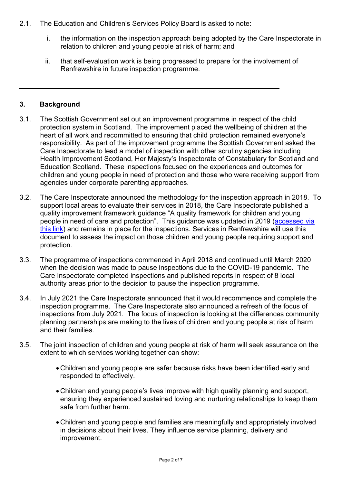- 2.1. The Education and Children's Services Policy Board is asked to note:
	- i. the information on the inspection approach being adopted by the Care Inspectorate in relation to children and young people at risk of harm; and
	- ii. that self-evaluation work is being progressed to prepare for the involvement of Renfrewshire in future inspection programme.

## **3. Background**

- 3.1. The Scottish Government set out an improvement programme in respect of the child protection system in Scotland. The improvement placed the wellbeing of children at the heart of all work and recommitted to ensuring that child protection remained everyone's responsibility. As part of the improvement programme the Scottish Government asked the Care Inspectorate to lead a model of inspection with other scrutiny agencies including Health Improvement Scotland, Her Majesty's Inspectorate of Constabulary for Scotland and Education Scotland. These inspections focused on the experiences and outcomes for children and young people in need of protection and those who were receiving support from agencies under corporate parenting approaches.
- 3.2. The Care Inspectorate announced the methodology for the inspection approach in 2018. To support local areas to evaluate their services in 2018, the Care Inspectorate published a quality improvement framework guidance "A quality framework for children and young people in need of care and protection". This guidance was updated in 2019 (accessed via this link) and remains in place for the inspections. Services in Renfrewshire will use this document to assess the impact on those children and young people requiring support and protection.
- 3.3. The programme of inspections commenced in April 2018 and continued until March 2020 when the decision was made to pause inspections due to the COVID-19 pandemic. The Care Inspectorate completed inspections and published reports in respect of 8 local authority areas prior to the decision to pause the inspection programme.
- 3.4. In July 2021 the Care Inspectorate announced that it would recommence and complete the inspection programme. The Care Inspectorate also announced a refresh of the focus of inspections from July 2021. The focus of inspection is looking at the differences community planning partnerships are making to the lives of children and young people at risk of harm and their families.
- 3.5. The joint inspection of children and young people at risk of harm will seek assurance on the extent to which services working together can show:
	- Children and young people are safer because risks have been identified early and responded to effectively.
	- Children and young people's lives improve with high quality planning and support, ensuring they experienced sustained loving and nurturing relationships to keep them safe from further harm.
	- Children and young people and families are meaningfully and appropriately involved in decisions about their lives. They influence service planning, delivery and improvement.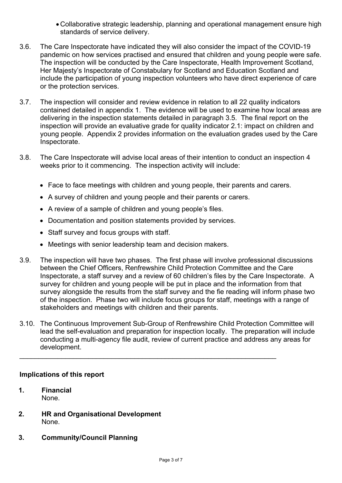- Collaborative strategic leadership, planning and operational management ensure high standards of service delivery.
- 3.6. The Care Inspectorate have indicated they will also consider the impact of the COVID-19 pandemic on how services practised and ensured that children and young people were safe. The inspection will be conducted by the Care Inspectorate, Health Improvement Scotland, Her Majesty's Inspectorate of Constabulary for Scotland and Education Scotland and include the participation of young inspection volunteers who have direct experience of care or the protection services.
- 3.7. The inspection will consider and review evidence in relation to all 22 quality indicators contained detailed in appendix 1. The evidence will be used to examine how local areas are delivering in the inspection statements detailed in paragraph 3.5. The final report on the inspection will provide an evaluative grade for quality indicator 2.1: impact on children and young people. Appendix 2 provides information on the evaluation grades used by the Care Inspectorate.
- 3.8. The Care Inspectorate will advise local areas of their intention to conduct an inspection 4 weeks prior to it commencing. The inspection activity will include:
	- Face to face meetings with children and young people, their parents and carers.
	- A survey of children and young people and their parents or carers.
	- A review of a sample of children and young people's files.
	- Documentation and position statements provided by services.
	- Staff survey and focus groups with staff.
	- Meetings with senior leadership team and decision makers.
- 3.9. The inspection will have two phases. The first phase will involve professional discussions between the Chief Officers, Renfrewshire Child Protection Committee and the Care Inspectorate, a staff survey and a review of 60 children's files by the Care Inspectorate. A survey for children and young people will be put in place and the information from that survey alongside the results from the staff survey and the fie reading will inform phase two of the inspection. Phase two will include focus groups for staff, meetings with a range of stakeholders and meetings with children and their parents.
- 3.10. The Continuous Improvement Sub-Group of Renfrewshire Child Protection Committee will lead the self-evaluation and preparation for inspection locally. The preparation will include conducting a multi-agency file audit, review of current practice and address any areas for development.

 $\mathcal{L}_\mathcal{L} = \{ \mathcal{L}_\mathcal{L} = \{ \mathcal{L}_\mathcal{L} = \{ \mathcal{L}_\mathcal{L} = \{ \mathcal{L}_\mathcal{L} = \{ \mathcal{L}_\mathcal{L} = \{ \mathcal{L}_\mathcal{L} = \{ \mathcal{L}_\mathcal{L} = \{ \mathcal{L}_\mathcal{L} = \{ \mathcal{L}_\mathcal{L} = \{ \mathcal{L}_\mathcal{L} = \{ \mathcal{L}_\mathcal{L} = \{ \mathcal{L}_\mathcal{L} = \{ \mathcal{L}_\mathcal{L} = \{ \mathcal{L}_\mathcal{$ 

## **Implications of this report**

- **1. Financial**  None.
- **2. HR and Organisational Development**  None.
- **3. Community/Council Planning**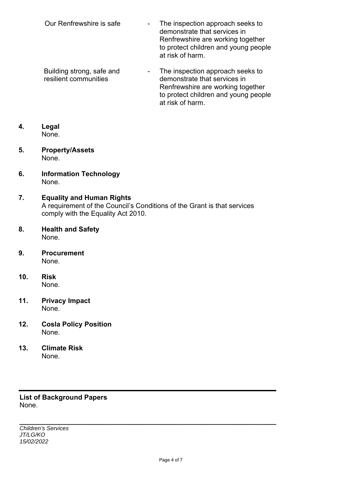- Our Renfrewshire is safe The inspection approach seeks to demonstrate that services in Renfrewshire are working together to protect children and young people at risk of harm.
- Building strong, safe and resilient communities - The inspection approach seeks to demonstrate that services in Renfrewshire are working together to protect children and young people at risk of harm.

## **4. Legal**  None.

- **5. Property/Assets**  None.
- **6. Information Technology**  None.

#### **7. Equality and Human Rights**  A requirement of the Council's Conditions of the Grant is that services comply with the Equality Act 2010.

- **8. Health and Safety**  None.
- **9. Procurement**  None.
- **10. Risk**  None.
- **11. Privacy Impact**  None.
- **12. Cosla Policy Position**  None.
- **13. Climate Risk**  None.

## **List of Background Papers**  None.

**\_\_\_\_\_\_\_\_\_\_\_\_\_\_\_\_\_\_\_\_\_\_\_\_\_\_\_\_\_\_\_\_\_\_\_\_\_\_\_\_\_\_\_\_\_\_\_\_\_\_\_\_\_\_\_\_\_\_\_\_\_\_\_\_\_\_\_** *Children's Services JT/LG/KO 15/02/2022*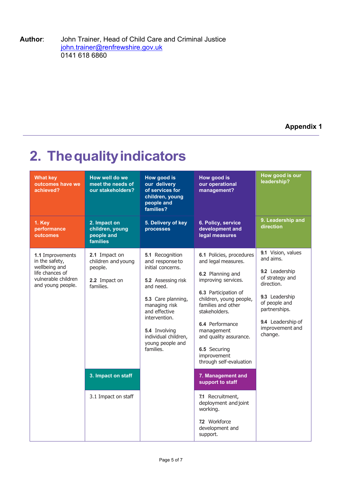**Author**: John Trainer, Head of Child Care and Criminal Justice john.trainer@renfrewshire.gov.uk 0141 618 6860

**Appendix 1** 

# **2. The quality indicators**

| <b>What key</b><br>outcomes have we<br>achieved?                                                                   | How well do we<br>meet the needs of<br>our stakeholders?                                                                  | <b>How good is</b><br>our delivery<br>of services for<br>children, young<br>people and<br>families?                                                                                                                                          | How good is<br>our operational<br>management?                                                                                                                                                                                                                                                                                                                                                              | How good is our<br>leadership?                                                                                                                                                            |
|--------------------------------------------------------------------------------------------------------------------|---------------------------------------------------------------------------------------------------------------------------|----------------------------------------------------------------------------------------------------------------------------------------------------------------------------------------------------------------------------------------------|------------------------------------------------------------------------------------------------------------------------------------------------------------------------------------------------------------------------------------------------------------------------------------------------------------------------------------------------------------------------------------------------------------|-------------------------------------------------------------------------------------------------------------------------------------------------------------------------------------------|
| 1. Key<br>performance<br>outcomes                                                                                  | 2. Impact on<br>children, young<br>people and<br>families                                                                 | 5. Delivery of key<br>processes                                                                                                                                                                                                              | 6. Policy, service<br>development and<br>legal measures                                                                                                                                                                                                                                                                                                                                                    | 9. Leadership and<br>direction                                                                                                                                                            |
| 1.1 Improvements<br>in the safety,<br>wellbeing and<br>life chances of<br>vulnerable children<br>and young people. | 2.1 Impact on<br>children and young<br>people.<br>2.2 Impact on<br>families.<br>3. Impact on staff<br>3.1 Impact on staff | 5.1 Recognition<br>and responseto<br>initial concerns.<br>5.2 Assessing risk<br>and need.<br>5.3 Care planning,<br>managing risk<br>and effective<br>intervention.<br>5.4 Involving<br>individual children,<br>young people and<br>families. | 6.1 Policies, procedures<br>and legal measures.<br>6.2 Planning and<br>improving services.<br>6.3 Participation of<br>children, young people,<br>families and other<br>stakeholders.<br>6.4 Performance<br>management<br>and quality assurance.<br>6.5 Securing<br>improvement<br>through self-evaluation<br>7. Management and<br>support to staff<br>7.1 Recruitment,<br>deployment and joint<br>working. | 9.1 Vision, values<br>and aims.<br>9.2 Leadership<br>of strategy and<br>direction.<br>9.3 Leadership<br>of people and<br>partnerships.<br>9.4 Leadership of<br>improvement and<br>change. |
|                                                                                                                    |                                                                                                                           |                                                                                                                                                                                                                                              | 72 Workforce<br>development and<br>support.                                                                                                                                                                                                                                                                                                                                                                |                                                                                                                                                                                           |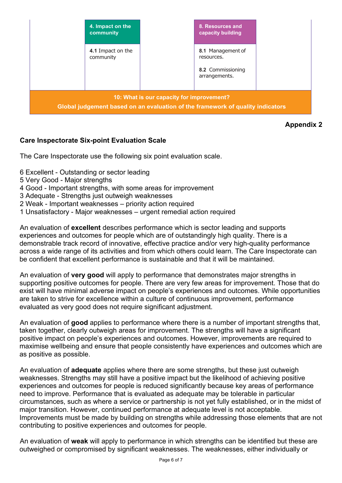

**Appendix 2** 

## **Care Inspectorate Six-point Evaluation Scale**

The Care Inspectorate use the following six point evaluation scale.

- 6 Excellent Outstanding or sector leading
- 5 Very Good Major strengths
- 4 Good Important strengths, with some areas for improvement
- 3 Adequate Strengths just outweigh weaknesses
- 2 Weak Important weaknesses priority action required
- 1 Unsatisfactory Major weaknesses urgent remedial action required

An evaluation of **excellent** describes performance which is sector leading and supports experiences and outcomes for people which are of outstandingly high quality. There is a demonstrable track record of innovative, effective practice and/or very high-quality performance across a wide range of its activities and from which others could learn. The Care Inspectorate can be confident that excellent performance is sustainable and that it will be maintained.

An evaluation of **very good** will apply to performance that demonstrates major strengths in supporting positive outcomes for people. There are very few areas for improvement. Those that do exist will have minimal adverse impact on people's experiences and outcomes. While opportunities are taken to strive for excellence within a culture of continuous improvement, performance evaluated as very good does not require significant adjustment.

An evaluation of **good** applies to performance where there is a number of important strengths that, taken together, clearly outweigh areas for improvement. The strengths will have a significant positive impact on people's experiences and outcomes. However, improvements are required to maximise wellbeing and ensure that people consistently have experiences and outcomes which are as positive as possible.

An evaluation of **adequate** applies where there are some strengths, but these just outweigh weaknesses. Strengths may still have a positive impact but the likelihood of achieving positive experiences and outcomes for people is reduced significantly because key areas of performance need to improve. Performance that is evaluated as adequate may be tolerable in particular circumstances, such as where a service or partnership is not yet fully established, or in the midst of major transition. However, continued performance at adequate level is not acceptable. Improvements must be made by building on strengths while addressing those elements that are not contributing to positive experiences and outcomes for people.

An evaluation of **weak** will apply to performance in which strengths can be identified but these are outweighed or compromised by significant weaknesses. The weaknesses, either individually or